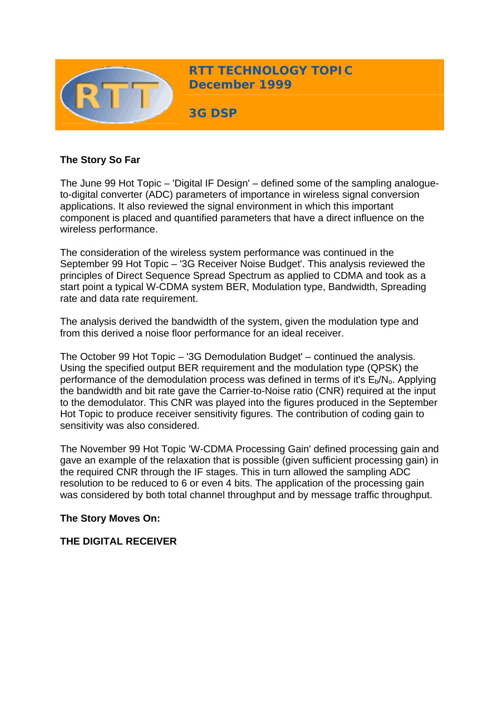

## **The Story So Far**

The June 99 Hot Topic – 'Digital IF Design' – defined some of the sampling analogueto-digital converter (ADC) parameters of importance in wireless signal conversion applications. It also reviewed the signal environment in which this important component is placed and quantified parameters that have a direct influence on the wireless performance.

The consideration of the wireless system performance was continued in the September 99 Hot Topic – '3G Receiver Noise Budget'. This analysis reviewed the principles of Direct Sequence Spread Spectrum as applied to CDMA and took as a start point a typical W-CDMA system BER, Modulation type, Bandwidth, Spreading rate and data rate requirement.

The analysis derived the bandwidth of the system, given the modulation type and from this derived a noise floor performance for an ideal receiver.

The October 99 Hot Topic – '3G Demodulation Budget' – continued the analysis. Using the specified output BER requirement and the modulation type (QPSK) the performance of the demodulation process was defined in terms of it's  $E_b/N_a$ . Applying the bandwidth and bit rate gave the Carrier-to-Noise ratio (CNR) required at the input to the demodulator. This CNR was played into the figures produced in the September Hot Topic to produce receiver sensitivity figures. The contribution of coding gain to sensitivity was also considered.

The November 99 Hot Topic 'W-CDMA Processing Gain' defined processing gain and gave an example of the relaxation that is possible (given sufficient processing gain) in the required CNR through the IF stages. This in turn allowed the sampling ADC resolution to be reduced to 6 or even 4 bits. The application of the processing gain was considered by both total channel throughput and by message traffic throughput.

## **The Story Moves On:**

## **THE DIGITAL RECEIVER**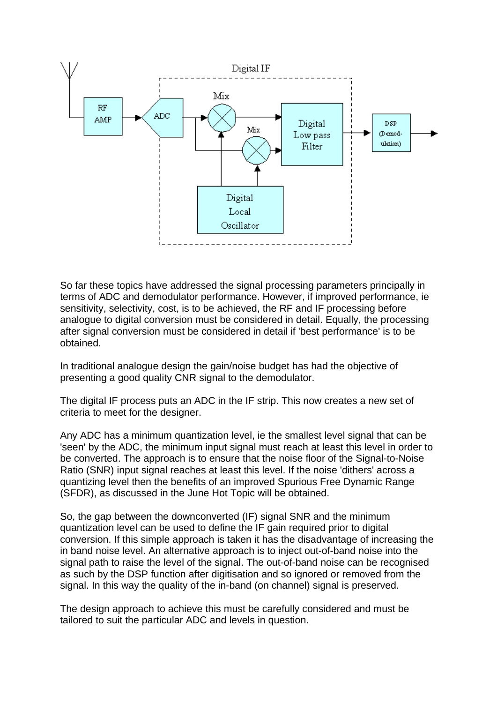

So far these topics have addressed the signal processing parameters principally in terms of ADC and demodulator performance. However, if improved performance, ie sensitivity, selectivity, cost, is to be achieved, the RF and IF processing before analogue to digital conversion must be considered in detail. Equally, the processing after signal conversion must be considered in detail if 'best performance' is to be obtained.

In traditional analogue design the gain/noise budget has had the objective of presenting a good quality CNR signal to the demodulator.

The digital IF process puts an ADC in the IF strip. This now creates a new set of criteria to meet for the designer.

Any ADC has a minimum quantization level, ie the smallest level signal that can be 'seen' by the ADC, the minimum input signal must reach at least this level in order to be converted. The approach is to ensure that the noise floor of the Signal-to-Noise Ratio (SNR) input signal reaches at least this level. If the noise 'dithers' across a quantizing level then the benefits of an improved Spurious Free Dynamic Range (SFDR), as discussed in the June Hot Topic will be obtained.

So, the gap between the downconverted (IF) signal SNR and the minimum quantization level can be used to define the IF gain required prior to digital conversion. If this simple approach is taken it has the disadvantage of increasing the in band noise level. An alternative approach is to inject out-of-band noise into the signal path to raise the level of the signal. The out-of-band noise can be recognised as such by the DSP function after digitisation and so ignored or removed from the signal. In this way the quality of the in-band (on channel) signal is preserved.

The design approach to achieve this must be carefully considered and must be tailored to suit the particular ADC and levels in question.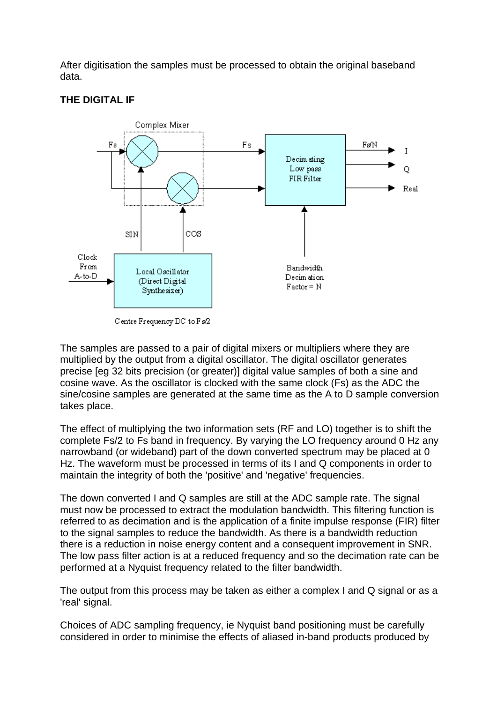After digitisation the samples must be processed to obtain the original baseband data.

# **THE DIGITAL IF**



Centre Frequency DC to Fs/2

The samples are passed to a pair of digital mixers or multipliers where they are multiplied by the output from a digital oscillator. The digital oscillator generates precise [eg 32 bits precision (or greater)] digital value samples of both a sine and cosine wave. As the oscillator is clocked with the same clock (Fs) as the ADC the sine/cosine samples are generated at the same time as the A to D sample conversion takes place.

The effect of multiplying the two information sets (RF and LO) together is to shift the complete Fs/2 to Fs band in frequency. By varying the LO frequency around 0 Hz any narrowband (or wideband) part of the down converted spectrum may be placed at 0 Hz. The waveform must be processed in terms of its I and Q components in order to maintain the integrity of both the 'positive' and 'negative' frequencies.

The down converted I and Q samples are still at the ADC sample rate. The signal must now be processed to extract the modulation bandwidth. This filtering function is referred to as decimation and is the application of a finite impulse response (FIR) filter to the signal samples to reduce the bandwidth. As there is a bandwidth reduction there is a reduction in noise energy content and a consequent improvement in SNR. The low pass filter action is at a reduced frequency and so the decimation rate can be performed at a Nyquist frequency related to the filter bandwidth.

The output from this process may be taken as either a complex I and Q signal or as a 'real' signal.

Choices of ADC sampling frequency, ie Nyquist band positioning must be carefully considered in order to minimise the effects of aliased in-band products produced by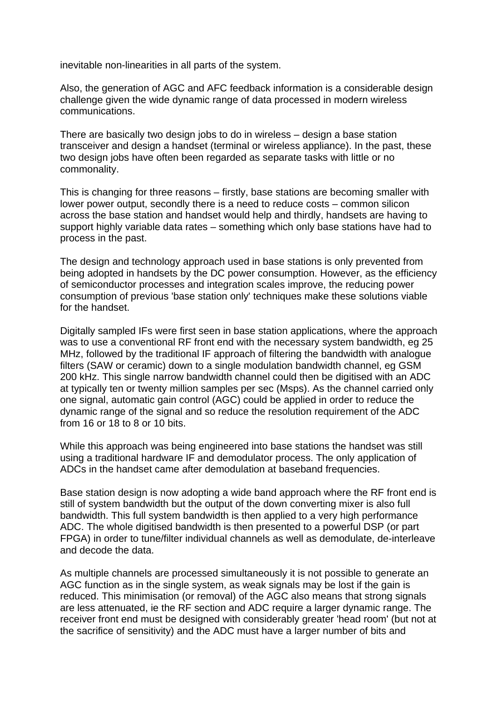inevitable non-linearities in all parts of the system.

Also, the generation of AGC and AFC feedback information is a considerable design challenge given the wide dynamic range of data processed in modern wireless communications.

There are basically two design jobs to do in wireless – design a base station transceiver and design a handset (terminal or wireless appliance). In the past, these two design jobs have often been regarded as separate tasks with little or no commonality.

This is changing for three reasons – firstly, base stations are becoming smaller with lower power output, secondly there is a need to reduce costs – common silicon across the base station and handset would help and thirdly, handsets are having to support highly variable data rates – something which only base stations have had to process in the past.

The design and technology approach used in base stations is only prevented from being adopted in handsets by the DC power consumption. However, as the efficiency of semiconductor processes and integration scales improve, the reducing power consumption of previous 'base station only' techniques make these solutions viable for the handset.

Digitally sampled IFs were first seen in base station applications, where the approach was to use a conventional RF front end with the necessary system bandwidth, eg 25 MHz, followed by the traditional IF approach of filtering the bandwidth with analogue filters (SAW or ceramic) down to a single modulation bandwidth channel, eg GSM 200 kHz. This single narrow bandwidth channel could then be digitised with an ADC at typically ten or twenty million samples per sec (Msps). As the channel carried only one signal, automatic gain control (AGC) could be applied in order to reduce the dynamic range of the signal and so reduce the resolution requirement of the ADC from 16 or 18 to 8 or 10 bits.

While this approach was being engineered into base stations the handset was still using a traditional hardware IF and demodulator process. The only application of ADCs in the handset came after demodulation at baseband frequencies.

Base station design is now adopting a wide band approach where the RF front end is still of system bandwidth but the output of the down converting mixer is also full bandwidth. This full system bandwidth is then applied to a very high performance ADC. The whole digitised bandwidth is then presented to a powerful DSP (or part FPGA) in order to tune/filter individual channels as well as demodulate, de-interleave and decode the data.

As multiple channels are processed simultaneously it is not possible to generate an AGC function as in the single system, as weak signals may be lost if the gain is reduced. This minimisation (or removal) of the AGC also means that strong signals are less attenuated, ie the RF section and ADC require a larger dynamic range. The receiver front end must be designed with considerably greater 'head room' (but not at the sacrifice of sensitivity) and the ADC must have a larger number of bits and